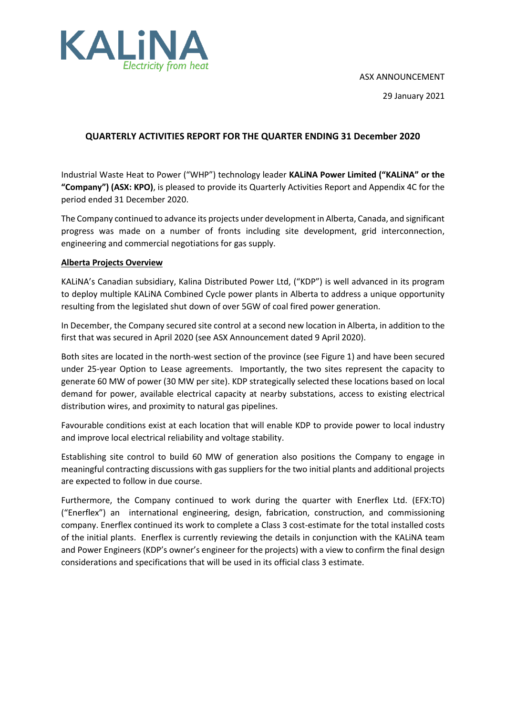ASX ANNOUNCEMENT



29 January 2021

## **QUARTERLY ACTIVITIES REPORT FOR THE QUARTER ENDING 31 December 2020**

Industrial Waste Heat to Power ("WHP") technology leader **KALiNA Power Limited ("KALiNA" or the "Company") (ASX: KPO)**, is pleased to provide its Quarterly Activities Report and Appendix 4C for the period ended 31 December 2020.

The Company continued to advance its projects under development in Alberta, Canada, and significant progress was made on a number of fronts including site development, grid interconnection, engineering and commercial negotiations for gas supply.

### **Alberta Projects Overview**

KALiNA's Canadian subsidiary, Kalina Distributed Power Ltd, ("KDP") is well advanced in its program to deploy multiple KALiNA Combined Cycle power plants in Alberta to address a unique opportunity resulting from the legislated shut down of over 5GW of coal fired power generation.

In December, the Company secured site control at a second new location in Alberta, in addition to the first that was secured in April 2020 (see ASX Announcement dated 9 April 2020).

Both sites are located in the north-west section of the province (see Figure 1) and have been secured under 25-year Option to Lease agreements. Importantly, the two sites represent the capacity to generate 60 MW of power (30 MW per site). KDP strategically selected these locations based on local demand for power, available electrical capacity at nearby substations, access to existing electrical distribution wires, and proximity to natural gas pipelines.

Favourable conditions exist at each location that will enable KDP to provide power to local industry and improve local electrical reliability and voltage stability.

Establishing site control to build 60 MW of generation also positions the Company to engage in meaningful contracting discussions with gas suppliers for the two initial plants and additional projects are expected to follow in due course.

Furthermore, the Company continued to work during the quarter with Enerflex Ltd. (EFX:TO) ("Enerflex") an international engineering, design, fabrication, construction, and commissioning company. Enerflex continued its work to complete a Class 3 cost-estimate for the total installed costs of the initial plants. Enerflex is currently reviewing the details in conjunction with the KALiNA team and Power Engineers (KDP's owner's engineer for the projects) with a view to confirm the final design considerations and specifications that will be used in its official class 3 estimate.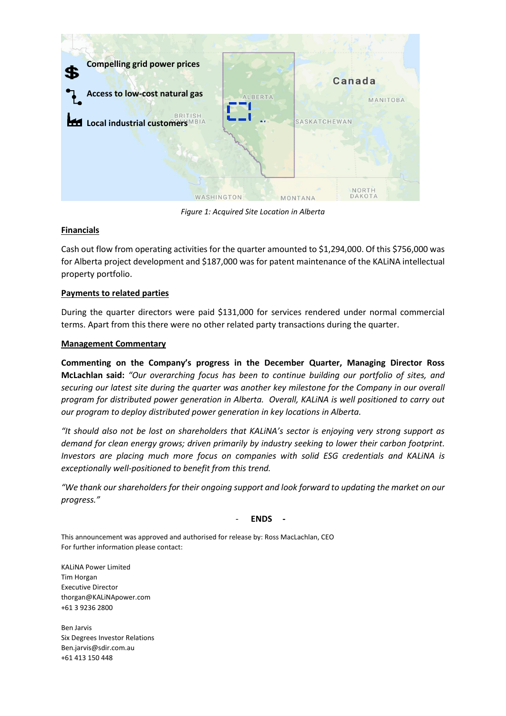

*Figure 1: Acquired Site Location in Alberta*

## **Financials**

Cash out flow from operating activities for the quarter amounted to \$1,294,000. Of this \$756,000 was for Alberta project development and \$187,000 was for patent maintenance of the KALiNA intellectual property portfolio.

## **Payments to related parties**

During the quarter directors were paid \$131,000 for services rendered under normal commercial terms. Apart from this there were no other related party transactions during the quarter.

### **Management Commentary**

**Commenting on the Company's progress in the December Quarter, Managing Director Ross McLachlan said:** *"Our overarching focus has been to continue building our portfolio of sites, and securing our latest site during the quarter was another key milestone for the Company in our overall program for distributed power generation in Alberta. Overall, KALiNA is well positioned to carry out our program to deploy distributed power generation in key locations in Alberta.* 

*"It should also not be lost on shareholders that KALiNA's sector is enjoying very strong support as demand for clean energy grows; driven primarily by industry seeking to lower their carbon footprint. Investors are placing much more focus on companies with solid ESG credentials and KALiNA is exceptionally well-positioned to benefit from this trend.*

*"We thank our shareholders for their ongoing support and look forward to updating the market on our progress."*

- **ENDS -**

This announcement was approved and authorised for release by: Ross MacLachlan, CEO For further information please contact:

KALiNA Power Limited Tim Horgan Executive Director thorgan@KALiNApower.com +61 3 9236 2800

Ben Jarvis Six Degrees Investor Relations Ben.jarvis@sdir.com.au +61 413 150 448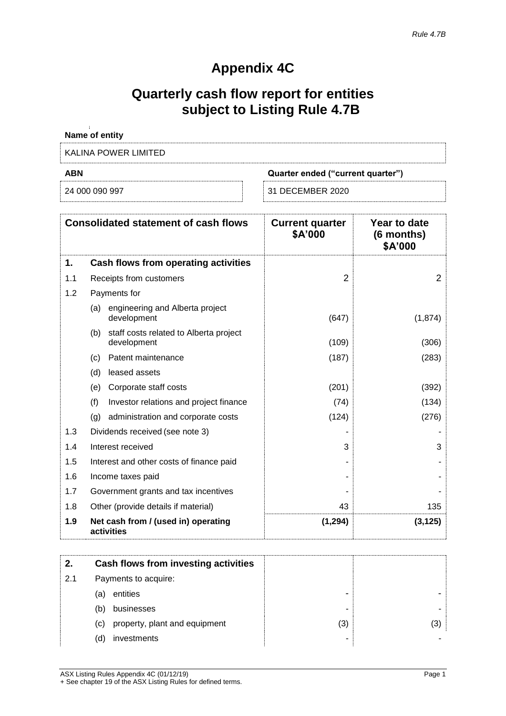# **Appendix 4C**

# **Quarterly cash flow report for entities subject to Listing Rule 4.7B**

| Name of entity       |                                   |
|----------------------|-----------------------------------|
| KALINA POWER LIMITED |                                   |
| <b>ABN</b>           | Quarter ended ("current quarter") |
| 24 000 090 997       | 31 DECEMBER 2020                  |

|     | <b>Consolidated statement of cash flows</b>                  | <b>Current quarter</b><br>\$A'000 | Year to date<br>(6 months)<br>\$A'000 |
|-----|--------------------------------------------------------------|-----------------------------------|---------------------------------------|
| 1.  | <b>Cash flows from operating activities</b>                  |                                   |                                       |
| 1.1 | Receipts from customers                                      | 2                                 | $\overline{2}$                        |
| 1.2 | Payments for                                                 |                                   |                                       |
|     | engineering and Alberta project<br>(a)<br>development        | (647)                             | (1,874)                               |
|     | staff costs related to Alberta project<br>(b)<br>development | (109)                             | (306)                                 |
|     | Patent maintenance<br>(c)                                    | (187)                             | (283)                                 |
|     | (d)<br>leased assets                                         |                                   |                                       |
|     | Corporate staff costs<br>(e)                                 | (201)                             | (392)                                 |
|     | (f)<br>Investor relations and project finance                | (74)                              | (134)                                 |
|     | (q)<br>administration and corporate costs                    | (124)                             | (276)                                 |
| 1.3 | Dividends received (see note 3)                              |                                   |                                       |
| 1.4 | Interest received                                            | 3                                 | 3                                     |
| 1.5 | Interest and other costs of finance paid                     |                                   |                                       |
| 1.6 | Income taxes paid                                            |                                   |                                       |
| 1.7 | Government grants and tax incentives                         |                                   |                                       |
| 1.8 | Other (provide details if material)                          | 43                                | 135                                   |
| 1.9 | Net cash from / (used in) operating<br>activities            | (1, 294)                          | (3, 125)                              |
|     |                                                              |                                   |                                       |

| 2.  | Cash flows from investing activities |     |     |
|-----|--------------------------------------|-----|-----|
| 2.1 | Payments to acquire:                 |     |     |
|     | entities<br>(a)                      | -   |     |
|     | businesses<br>(b)                    | -   |     |
|     | property, plant and equipment<br>(c) | (3) | (3) |
|     | (d)<br>investments                   | ۰   |     |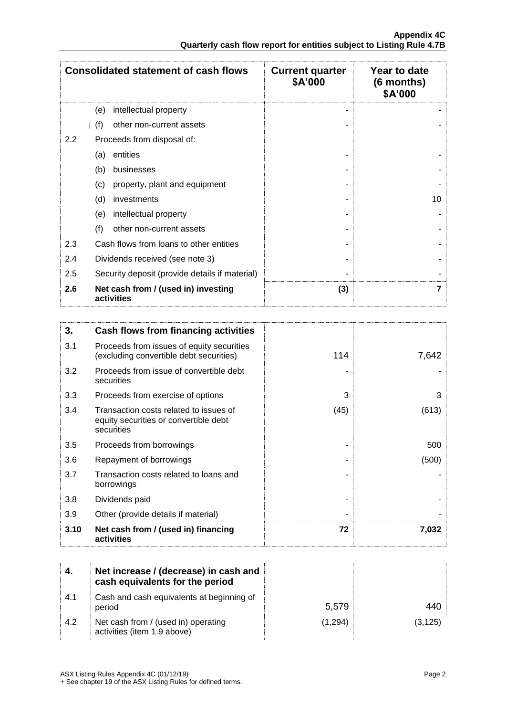|     | <b>Consolidated statement of cash flows</b>       | <b>Current quarter</b><br>\$A'000 | Year to date<br>$(6$ months)<br>\$A'000 |
|-----|---------------------------------------------------|-----------------------------------|-----------------------------------------|
|     | intellectual property<br>(e)                      |                                   |                                         |
|     | (f)<br>other non-current assets                   |                                   |                                         |
| 2.2 | Proceeds from disposal of:                        |                                   |                                         |
|     | entities<br>(a)                                   |                                   |                                         |
|     | businesses<br>(b)                                 |                                   |                                         |
|     | (c)<br>property, plant and equipment              |                                   |                                         |
|     | (d)<br>investments                                |                                   | 10                                      |
|     | intellectual property<br>(e)                      |                                   |                                         |
|     | (f)<br>other non-current assets                   |                                   |                                         |
| 2.3 | Cash flows from loans to other entities           |                                   |                                         |
| 2.4 | Dividends received (see note 3)                   |                                   |                                         |
| 2.5 | Security deposit (provide details if material)    |                                   |                                         |
| 2.6 | Net cash from / (used in) investing<br>activities | (3)                               |                                         |

| 3.   | Cash flows from financing activities                                                          |      |       |
|------|-----------------------------------------------------------------------------------------------|------|-------|
| 3.1  | Proceeds from issues of equity securities<br>(excluding convertible debt securities)          | 114  | 7,642 |
| 3.2  | Proceeds from issue of convertible debt<br>securities                                         |      |       |
| 3.3  | Proceeds from exercise of options                                                             | 3    | 3     |
| 3.4  | Transaction costs related to issues of<br>equity securities or convertible debt<br>securities | (45) | (613) |
| 3.5  | Proceeds from borrowings                                                                      |      | 500   |
| 3.6  | Repayment of borrowings                                                                       |      | (500) |
| 3.7  | Transaction costs related to loans and<br>borrowings                                          |      |       |
| 3.8  | Dividends paid                                                                                |      |       |
| 3.9  | Other (provide details if material)                                                           |      |       |
| 3.10 | Net cash from / (used in) financing<br>activities                                             | 72   | 7,032 |

|     | Net increase / (decrease) in cash and<br>cash equivalents for the period |         |          |
|-----|--------------------------------------------------------------------------|---------|----------|
| 4.1 | Cash and cash equivalents at beginning of<br>period                      | 5,579   | 440      |
| 4.2 | Net cash from / (used in) operating<br>activities (item 1.9 above)       | (1.294) | (3, 125) |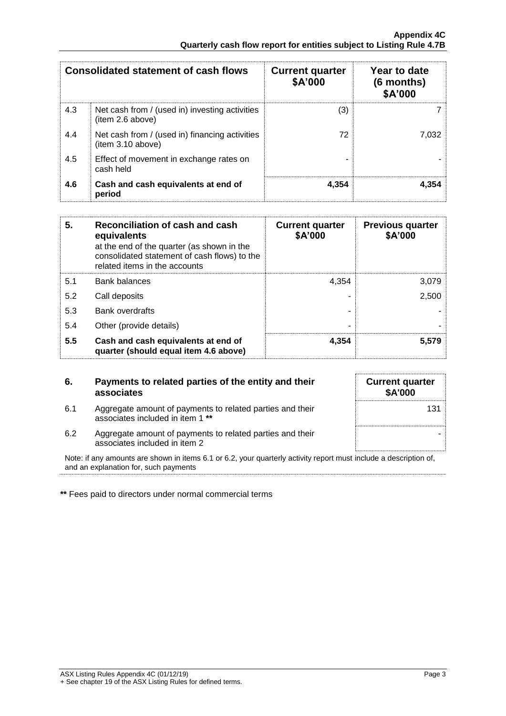|     | <b>Consolidated statement of cash flows</b>                        | <b>Current quarter</b><br>\$A'000 | Year to date<br>$(6$ months)<br>\$A'000 |
|-----|--------------------------------------------------------------------|-----------------------------------|-----------------------------------------|
| 4.3 | Net cash from / (used in) investing activities<br>(item 2.6 above) | (3)                               |                                         |
| 4.4 | Net cash from / (used in) financing activities<br>item 3.10 above) | 72                                | 7.032                                   |
| 4.5 | Effect of movement in exchange rates on<br>cash held               |                                   |                                         |
| 4.6 | Cash and cash equivalents at end of<br>period                      | 4.354                             | 4.354                                   |

| 5.  | Reconciliation of cash and cash<br>equivalents<br>at the end of the quarter (as shown in the<br>consolidated statement of cash flows) to the<br>related items in the accounts | <b>Current quarter</b><br>\$A'000 | <b>Previous quarter</b><br>\$A'000 |
|-----|-------------------------------------------------------------------------------------------------------------------------------------------------------------------------------|-----------------------------------|------------------------------------|
| 5.1 | <b>Bank balances</b>                                                                                                                                                          | 4.354                             | 3.079                              |
| 5.2 | Call deposits                                                                                                                                                                 |                                   | 2,500                              |
| 5.3 | Bank overdrafts                                                                                                                                                               |                                   |                                    |
| 5.4 | Other (provide details)                                                                                                                                                       | -                                 |                                    |
| 5.5 | Cash and cash equivalents at end of<br>quarter (should equal item 4.6 above)                                                                                                  | 4,354                             | 5,579                              |

| 6.  | Payments to related parties of the entity and their<br>associates                             | <b>Current quarter</b><br><b>\$A'000</b> |
|-----|-----------------------------------------------------------------------------------------------|------------------------------------------|
| 6.1 | Aggregate amount of payments to related parties and their<br>associates included in item 1 ** | 131                                      |
| 6.2 | Aggregate amount of payments to related parties and their<br>associates included in item 2    |                                          |

Note: if any amounts are shown in items 6.1 or 6.2, your quarterly activity report must include a description of, and an explanation for, such payments

**\*\*** Fees paid to directors under normal commercial terms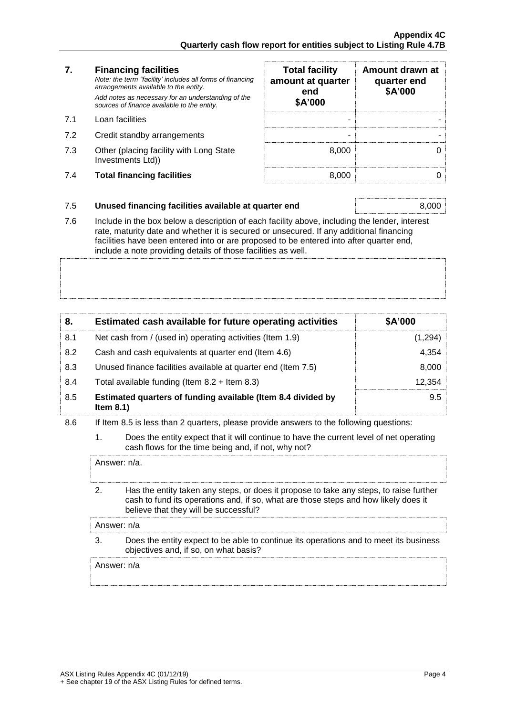### **7. Financing facilities**

- 
- 7.2 Credit standby arrangements
- 7.3 Other (placing facility with Long State Investments Ltd))
- 7.4 **Total financing facilities** 8,000 0

| 7.  | <b>Financing facilities</b><br>Note: the term "facility' includes all forms of financing<br>arrangements available to the entity.<br>Add notes as necessary for an understanding of the<br>sources of finance available to the entity. | <b>Total facility</b><br>amount at quarter<br>end<br>\$A'000 | Amount drawn at<br>quarter end<br>\$A'000 |
|-----|----------------------------------------------------------------------------------------------------------------------------------------------------------------------------------------------------------------------------------------|--------------------------------------------------------------|-------------------------------------------|
| 7.1 | Loan facilities                                                                                                                                                                                                                        |                                                              |                                           |
| 7.2 | Credit standby arrangements                                                                                                                                                                                                            |                                                              |                                           |
| 7.3 | Other (placing facility with Long State<br>Investments Ltd))                                                                                                                                                                           | 8.000                                                        |                                           |
| 7.4 | <b>Total financing facilities</b>                                                                                                                                                                                                      | 8.000                                                        |                                           |

### 7.5 **Unused financing facilities available at quarter end** 8,000

7.6 Include in the box below a description of each facility above, including the lender, interest rate, maturity date and whether it is secured or unsecured. If any additional financing facilities have been entered into or are proposed to be entered into after quarter end, include a note providing details of those facilities as well.

| 8.  | Estimated cash available for future operating activities                     | \$A'000  |
|-----|------------------------------------------------------------------------------|----------|
| 8.1 | Net cash from / (used in) operating activities (Item 1.9)                    | (1, 294) |
| 8.2 | Cash and cash equivalents at quarter end (Item 4.6)                          | 4,354    |
| 8.3 | Unused finance facilities available at quarter end (Item 7.5)                | 8,000    |
| 8.4 | Total available funding (Item $8.2 +$ Item $8.3$ )                           | 12.354   |
| 8.5 | Estimated quarters of funding available (Item 8.4 divided by<br>Item $8.1$ ) | 9.5      |

### 8.6 If Item 8.5 is less than 2 quarters, please provide answers to the following questions:

1. Does the entity expect that it will continue to have the current level of net operating cash flows for the time being and, if not, why not?

Answer: n/a.

2. Has the entity taken any steps, or does it propose to take any steps, to raise further cash to fund its operations and, if so, what are those steps and how likely does it believe that they will be successful?

Answer: n/a

3. Does the entity expect to be able to continue its operations and to meet its business objectives and, if so, on what basis?

Answer: n/a